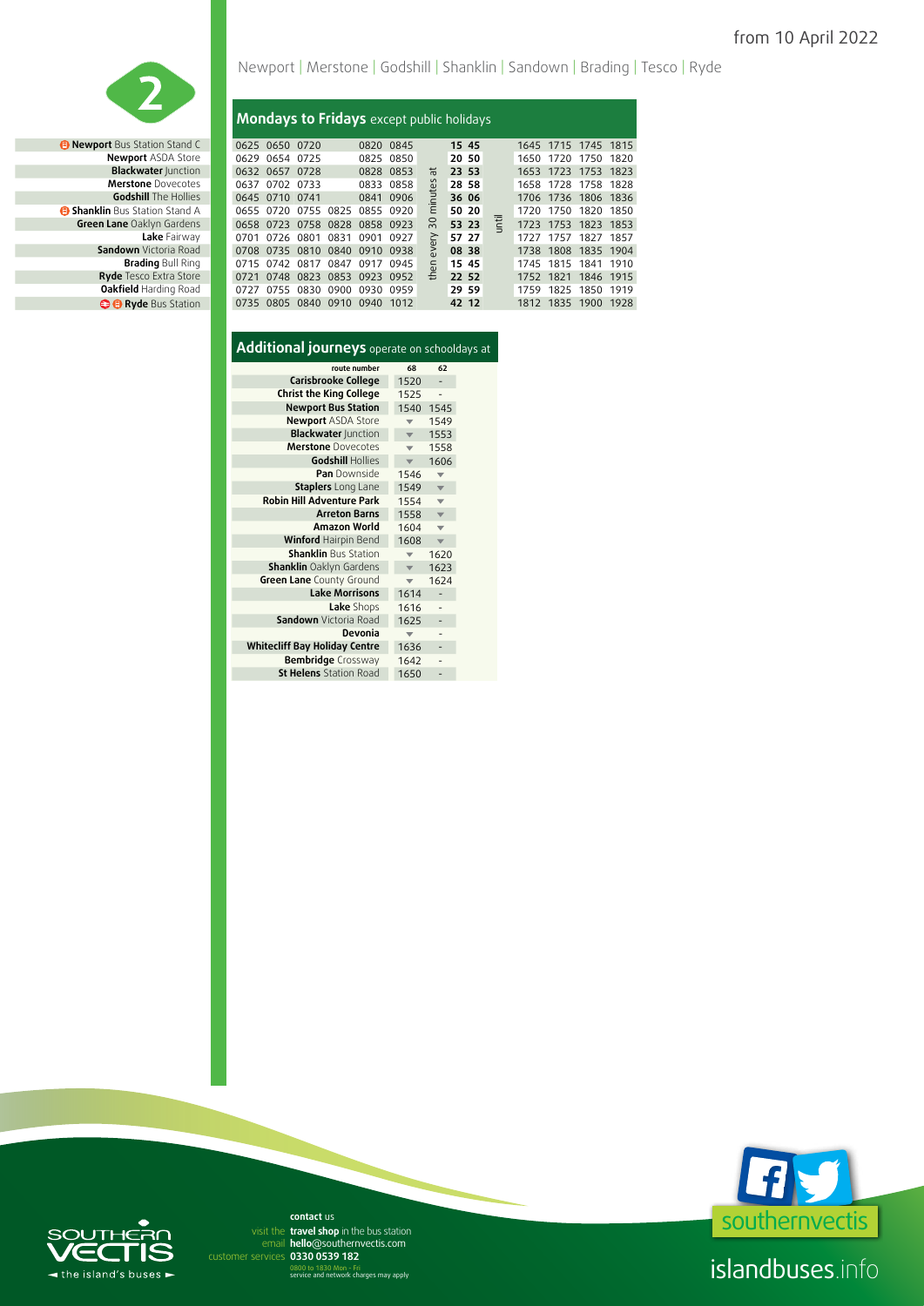

**Merstone** Dovecotes **Godshill** The Hollies **B Shanklin Bus Station Stand A Green Lane** Oaklyn Gardens *<b>B* **Ryde** Bus Station

### Newport | Merstone | Godshill | Shanklin | Sandown | Brading | Tesco | Ryde

#### **Mondays to Fridays** except public holidays

| <b>Newport</b> Bus Station Stand C  |           | 0625 0650 0720 |      |      | 0820 0845                     |           |      | 15 45 |   |      | 1645 1715 1745 1815 |  |
|-------------------------------------|-----------|----------------|------|------|-------------------------------|-----------|------|-------|---|------|---------------------|--|
| <b>Newport ASDA Store</b>           |           | 0629 0654 0725 |      |      |                               | 0825 0850 |      | 20 50 |   |      | 1650 1720 1750 1820 |  |
| <b>Blackwater Junction</b>          |           | 0632 0657 0728 |      |      | 0828 0853                     |           | ᄫ    | 23 53 |   |      | 1653 1723 1753 1823 |  |
| <b>Merstone</b> Dovecotes           |           | 0637 0702 0733 |      |      |                               | 0833 0858 | စိ   | 28 58 |   |      | 1658 1728 1758 1828 |  |
| <b>Godshill</b> The Hollies         |           | 0645 0710 0741 |      |      |                               | 0841 0906 | ₹    | 36 06 |   |      | 1706 1736 1806 1836 |  |
| <b>Shanklin</b> Bus Station Stand A |           |                |      |      | 0655 0720 0755 0825 0855 0920 |           | Έ    | 50 20 |   |      | 1720 1750 1820 1850 |  |
| Green Lane Oaklyn Gardens           |           |                |      |      | 0658 0723 0758 0828 0858 0923 |           | င္က  | 53 23 | 풭 |      | 1723 1753 1823 1853 |  |
| Lake Fairway                        | 0701      | 0726           | 0801 | 0831 | 0901 0927                     |           | と    | 57 27 |   | 1727 | 1757 1827 1857      |  |
| <b>Sandown</b> Victoria Road        |           |                |      |      | 0708 0735 0810 0840 0910 0938 |           | ž۶   | 08 38 |   |      | 1738 1808 1835 1904 |  |
| <b>Brading Bull Ring</b>            | 0715 0742 |                | 0817 |      | 0847 0917 0945                |           | then | 15 45 |   |      | 1745 1815 1841 1910 |  |
| Ryde Tesco Extra Store              | 0721      |                |      |      | 0748 0823 0853 0923 0952      |           |      | 22 52 |   |      | 1752 1821 1846 1915 |  |
| <b>Oakfield Harding Road</b>        | 0727      |                |      |      | 0755 0830 0900 0930 0959      |           |      | 29 59 |   | 1759 | 1825 1850 1919      |  |
| <b>C Ryde</b> Bus Station           | 0735      |                |      |      | 0805 0840 0910 0940           | 1012      |      | 42 12 |   |      | 1812 1835 1900 1928 |  |

|  |  |  |  | Additional journeys operate on schooldays at |
|--|--|--|--|----------------------------------------------|
|--|--|--|--|----------------------------------------------|

| route number                         | 68                       | 62                       |
|--------------------------------------|--------------------------|--------------------------|
| <b>Carisbrooke College</b>           | 1520                     |                          |
| <b>Christ the King College</b>       | 1525                     |                          |
| <b>Newport Bus Station</b>           | 1540                     | 1545                     |
| Newport ASDA Store                   |                          | 1549                     |
| <b>Blackwater Junction</b>           | v                        | 1553                     |
| <b>Merstone</b> Dovecotes            | $\overline{\phantom{a}}$ | 1558                     |
| Godshill Hollies                     |                          | 1606                     |
| Pan Downside                         | 1546                     |                          |
| <b>Staplers</b> Long Lane            | 1549                     | $\overline{\mathbf{v}}$  |
| <b>Robin Hill Adventure Park</b>     | 1554                     | $\overline{\phantom{a}}$ |
| <b>Arreton Barns</b>                 | 1558                     | $\overline{\mathbf{v}}$  |
| <b>Amazon World</b>                  | 1604                     |                          |
| Winford Hairpin Bend                 | 1608                     | $\overline{\phantom{a}}$ |
| <b>Shanklin Bus Station</b>          |                          | 1620                     |
| <b>Shanklin Oaklyn Gardens</b>       | $\overline{\phantom{a}}$ | 1623                     |
| Green Lane County Ground             |                          | 1624                     |
| <b>Lake Morrisons</b>                | 1614                     |                          |
| Lake Shops                           | 1616                     |                          |
| Sandown Victoria Road                | 1625                     |                          |
| Devonia                              |                          |                          |
| <b>Whitecliff Bay Holiday Centre</b> | 1636                     |                          |
| <b>Bembridge</b> Crossway            | 1642                     |                          |
| <b>St Helens</b> Station Road        | 1650                     |                          |



# $\epsilon$ the island's buses >

**hello**@southernvectis.com email **hello@southerr**<br>rvices **0330 0539 182 contact** us visit the travel shop in the bus station

0800 to 1830 Mon - Fri service and network charges may apply

islandbuses.info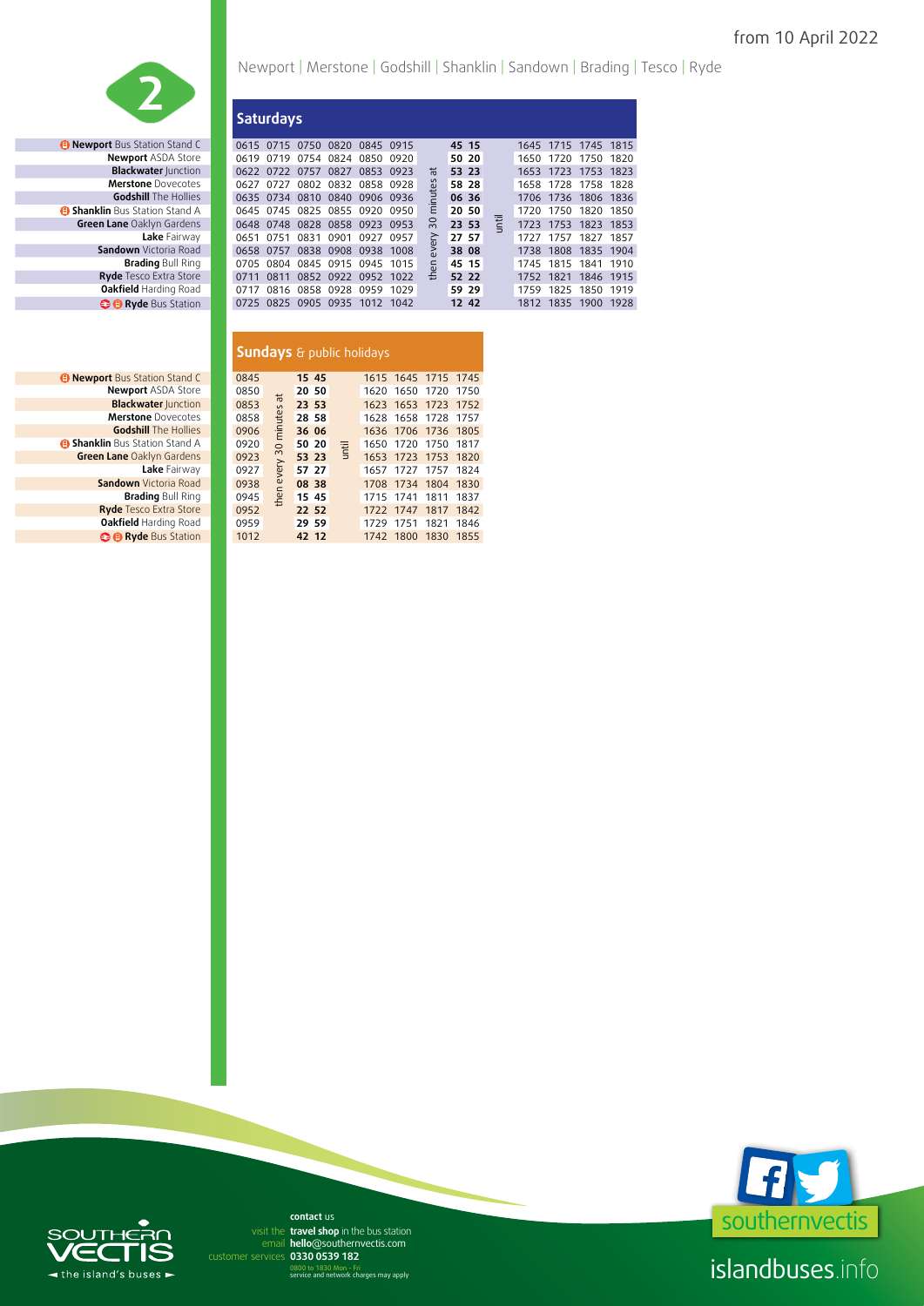

**Merstone** Dovecotes **Green Lane** Oaklyn Gardens *<b>B* Byde Bus Station

| <b>B Newport</b> Bus Station Stand C  | 0845 |
|---------------------------------------|------|
| <b>Newport ASDA Store</b>             | 0850 |
| <b>Blackwater Junction</b>            | 0853 |
| <b>Merstone</b> Dovecotes             | 0858 |
| <b>Godshill</b> The Hollies           | 0906 |
| <b>B Shanklin</b> Bus Station Stand A | 0920 |
| Green Lane Oaklyn Gardens             | 0923 |
| Lake Fairway                          | 0927 |
| <b>Sandown</b> Victoria Road          | 0938 |
| <b>Brading Bull Ring</b>              | 0945 |
| <b>Ryde Tesco Extra Store</b>         | 0952 |
| Oakfield Harding Road                 | 0959 |
| <b>B B</b> Ryde Bus Station           | 1012 |

## Newport | Merstone | Godshill | Shanklin | Sandown | Brading | Tesco | Ryde

|                                     |           | <b>Saturdays</b> |                |           |                               |      |       |       |             |      |                     |      |      |
|-------------------------------------|-----------|------------------|----------------|-----------|-------------------------------|------|-------|-------|-------------|------|---------------------|------|------|
| <b>Newport</b> Bus Station Stand C  | 0615 0715 |                  | 0750 0820      |           | 0845 0915                     |      |       | 45 15 |             |      | 1645 1715 1745 1815 |      |      |
| <b>Newport ASDA Store</b>           | 0619      | 0719             | 0754           | 0824      | 0850                          | 0920 |       | 50 20 |             | 1650 | 1720                | 1750 | 1820 |
| <b>Blackwater Junction</b>          | 0622      | 0722             | 0757           | 0827      | 0853                          | 0923 | ᄫ     | 53 23 |             | 1653 | 1723                | 1753 | 1823 |
| <b>Merstone</b> Dovecotes           | 0627      | 0727             |                |           | 0802 0832 0858 0928           |      | nutes | 58 28 |             |      | 1658 1728 1758 1828 |      |      |
| <b>Godshill</b> The Hollies         |           |                  |                |           | 0635 0734 0810 0840 0906 0936 |      |       | 06 36 |             |      | 1706 1736 1806 1836 |      |      |
| <b>Shanklin</b> Bus Station Stand A |           |                  |                |           | 0645 0745 0825 0855 0920 0950 |      | Έ     | 20 50 |             |      | 1720 1750 1820 1850 |      |      |
| Green Lane Oaklyn Gardens           | 0648      | 0748             | 0828           |           | 0858 0923                     | 0953 | 20    | 23 53 | <b>Till</b> |      | 1723 1753 1823 1853 |      |      |
| Lake Fairway                        | 0651      | 0751             | 0831           | 0901      | 0927                          | 0957 | ≥     | 27 57 |             |      | 1727 1757 1827 1857 |      |      |
| <b>Sandown</b> Victoria Road        | 0658      | 0757             | 0838           | 0908 0938 |                               | 1008 | ຂົ    | 38 08 |             | 1738 | 1808 1835 1904      |      |      |
| <b>Brading Bull Ring</b>            | 0705      | 0804             | 0845 0915 0945 |           |                               | 1015 | then  | 45 15 |             | 1745 | 1815 1841           |      | 1910 |
| Ryde Tesco Extra Store              | 0711      | 0811             | 0852           | 0922      | 0952                          | 1022 |       | 52 22 |             | 1752 | 1821                | 1846 | 1915 |
| <b>Oakfield Harding Road</b>        | 0717      |                  | 0816 0858 0928 |           | 0959                          | 1029 |       | 59 29 |             | 1759 | 1825                | 1850 | 1919 |
| <b>C Ryde</b> Bus Station           | 0725      | 0825             | 0905 0935      |           | 1012                          | 1042 |       | 12 42 |             |      | 1812 1835           | 1900 | 1928 |

|                                     | <b>Sundays</b> & public holidays |              |       |              |      |                     |      |      |
|-------------------------------------|----------------------------------|--------------|-------|--------------|------|---------------------|------|------|
| <b>Newport Bus Station Stand C</b>  | 0845                             |              | 15 45 |              |      | 1615 1645 1715 1745 |      |      |
| <b>Newport ASDA Store</b>           | 0850                             |              | 20 50 |              | 1620 | 1650                | 1720 | 1750 |
| <b>Blackwater Junction</b>          | 0853                             | e s          | 23 53 |              |      | 1623 1653 1723      |      | 1752 |
| <b>Merstone</b> Dovecotes           | 0858                             | minute       | 28 58 |              |      | 1628 1658 1728 1757 |      |      |
| <b>Godshill</b> The Hollies         | 0906                             |              | 36 06 |              | 1636 | 1706                | 1736 | 1805 |
| <b>Shanklin</b> Bus Station Stand A | 0920                             | $\circ$      | 50 20 | <b>Until</b> | 1650 | 1720                | 1750 | 1817 |
| Green Lane Oaklyn Gardens           | 0923                             | then every 3 | 53 23 |              |      | 1653 1723 1753      |      | 1820 |
| Lake Fairway                        | 0927                             |              | 57 27 |              | 1657 | 1727                | 1757 | 1824 |
| <b>Sandown</b> Victoria Road        | 0938                             |              | 08 38 |              | 1708 | 1734                | 1804 | 1830 |
| <b>Brading Bull Ring</b>            | 0945                             |              | 15 45 |              | 1715 | 1741                | 1811 | 1837 |
| <b>Ryde Tesco Extra Store</b>       | 0952                             |              | 22 52 |              | 1722 | 1747                | 1817 | 1842 |
| Oakfield Harding Road               | 0959                             |              | 29 59 |              | 1729 | 1751                | 1821 | 1846 |
| <b>B B</b> Ryde Bus Station         | 1012                             |              | 42 12 |              |      | 1742 1800           | 1830 | 1855 |
|                                     |                                  |              |       |              |      |                     |      |      |



islandbuses.info

#### JТI  $\blacksquare$  $\blacktriangleleft$  the island's buses  $\blacktriangleright$

**hello**@southernvectis.com email **hello@southerr**<br>rvices **0330 0539 182 contact** us visit the travel shop in the bus station

0800 to 1830 Mon - Fri service and network charges may apply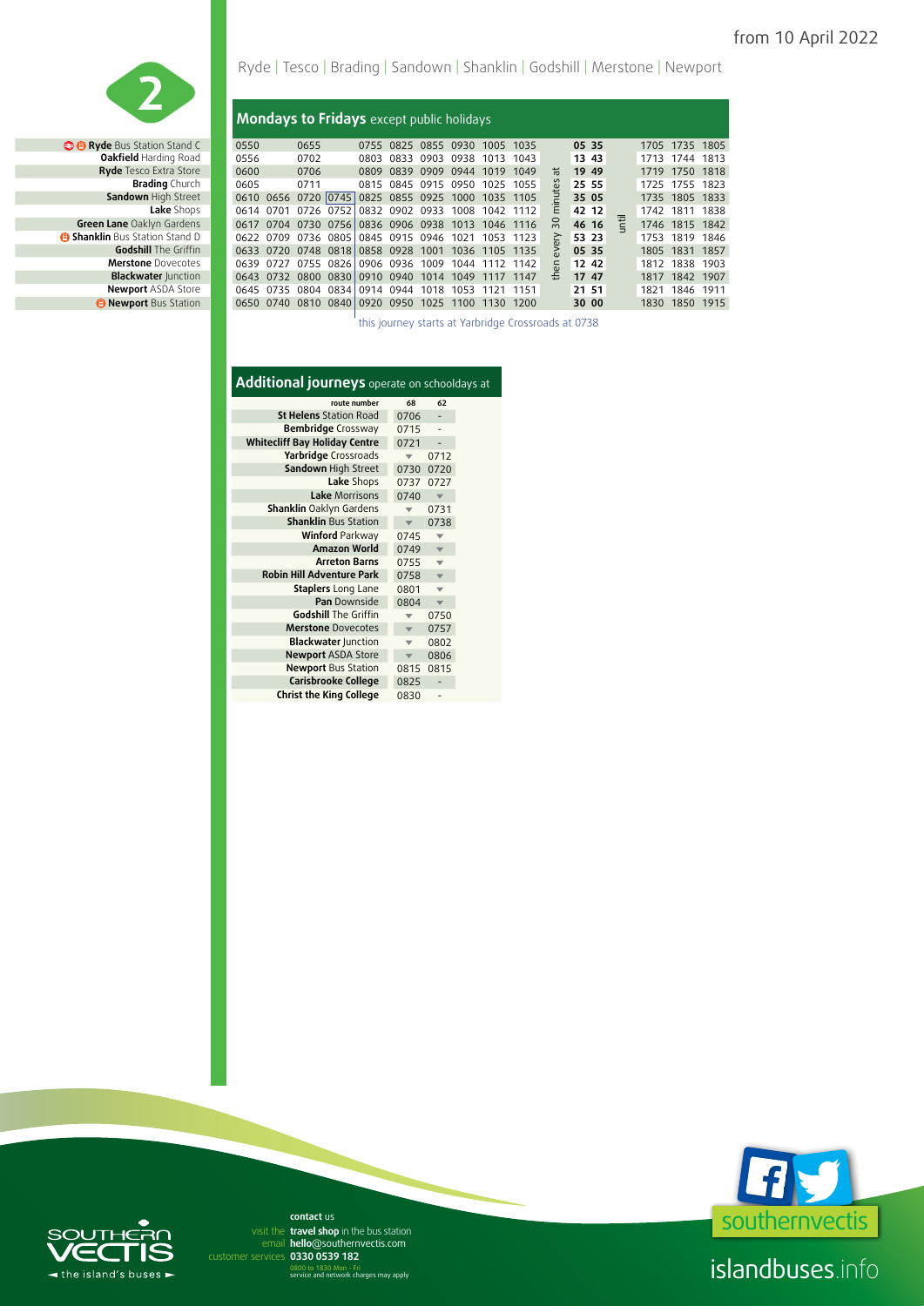

**Merstone** Dovecotes **Blackwater** Junction **Newport** ASDA Store *<b> Bus* Newport Bus Station

### Ryde | Tesco | Brading | Sandown | Shanklin | Godshill | Merstone | Newport

#### **Mondays to Fridays** except public holidays

| <b>B</b> Ryde Bus Station Stand C   | 0550 |                     | 0655 |           |           | 0755 0825 | 0855 0930                               | 1005 1035 |      |    | 05 35 |  |      | 1705 1735 1805 |  |
|-------------------------------------|------|---------------------|------|-----------|-----------|-----------|-----------------------------------------|-----------|------|----|-------|--|------|----------------|--|
| Oakfield Harding Road               | 0556 |                     | 0702 |           | 0803      | 0833      | 0903 0938                               | 1013 1043 |      |    | 13 43 |  | 1713 | 1744 1813      |  |
| Ryde Tesco Extra Store              | 0600 |                     | 0706 |           | 0809      |           | 0839 0909 0944                          | 1019 1049 |      | ᄇ  | 19 49 |  |      | 1719 1750 1818 |  |
| <b>Brading</b> Church               | 0605 |                     | 0711 |           |           |           | 0815 0845 0915 0950                     | 1025 1055 |      | යි | 25 55 |  |      | 1725 1755 1823 |  |
| Sandown High Street                 |      | 0610 0656 0720 0745 |      |           |           |           | 0825 0855 0925 1000 1035 1105           |           |      |    | 35 05 |  |      | 1735 1805 1833 |  |
| Lake Shops                          |      | 0614 0701           |      | 0726 0752 |           |           | 0832 0902 0933 1008                     | 1042 1112 |      | Ε  | 42 12 |  |      | 1742 1811 1838 |  |
| Green Lane Oaklyn Gardens           | 0617 | 0704                |      | 0730 0756 |           |           | 0836 0906 0938 1013 1046 1116           |           |      | ္က | 46 16 |  |      | 1746 1815 1842 |  |
| <b>Shanklin</b> Bus Station Stand D |      | 0622 0709           |      | 0736 0805 |           |           | 0845 0915 0946 1021                     | 1053      | 1123 | ≥  | 53 23 |  |      | 1753 1819 1846 |  |
| <b>Godshill</b> The Griffin         |      | 0633 0720 0748 0818 |      |           |           |           | 0858 0928 1001 1036 1105 1135           |           |      | ≳  | 05 35 |  |      | 1805 1831 1857 |  |
| <b>Merstone</b> Dovecotes           |      | 0639 0727 0755 0826 |      |           |           |           | 0906 0936 1009 1044 1112 1142           |           |      | Ē. | 12 42 |  | 1812 | 1838 1903      |  |
| <b>Blackwater Junction</b>          |      | 0643 0732           |      | 0800 0830 |           | 0910 0940 | 1014 1049                               | 1117      | 1147 | £  | 17 47 |  |      | 1817 1842 1907 |  |
| <b>Newport ASDA Store</b>           |      | 0645 0735           |      | 0804 0834 | 0914 0944 |           | 1018 1053                               | 1121 1151 |      |    | 21 51 |  | 1821 | 1846 1911      |  |
| <b>B</b> Newport Bus Station        |      | 0650 0740           |      |           |           |           | 0810 0840 0920 0950 1025 1100 1130 1200 |           |      |    | 30 00 |  |      | 1830 1850 1915 |  |

this journey starts at Yarbridge Crossroads at 0738

#### **Additional journeys** operate on schooldays at

| route number                         | 68   | 62                      |  |
|--------------------------------------|------|-------------------------|--|
| <b>St Helens</b> Station Road        | 0706 |                         |  |
| <b>Bembridge</b> Crossway            | 0715 |                         |  |
| <b>Whitecliff Bay Holiday Centre</b> | 0721 |                         |  |
| Yarbridge Crossroads                 |      | 0712                    |  |
| Sandown High Street                  | 0730 | 0720                    |  |
| Lake Shops                           | 0737 | 0727                    |  |
| Lake Morrisons                       | 0740 |                         |  |
| <b>Shanklin Oaklyn Gardens</b>       |      | 0731                    |  |
| <b>Shanklin Bus Station</b>          |      | 0738                    |  |
| <b>Winford Parkway</b>               | 0745 |                         |  |
| <b>Amazon World</b>                  | 0749 | $\overline{\mathbf{v}}$ |  |
| <b>Arreton Barns</b>                 | 0755 | v                       |  |
| <b>Robin Hill Adventure Park</b>     | 0758 | $\overline{\mathbf{v}}$ |  |
| <b>Staplers</b> Long Lane            | 0801 | ÷                       |  |
| <b>Pan</b> Downside                  | 0804 |                         |  |
| <b>Godshill The Griffin</b>          |      | 0750                    |  |
| <b>Merstone</b> Dovecotes            |      | 0757                    |  |
| <b>Blackwater Junction</b>           |      | 0802                    |  |
| <b>Newport ASDA Store</b>            |      | 0806                    |  |
| <b>Newport Bus Station</b>           | 0815 | 0815                    |  |
| Carisbrooke College                  | 0825 |                         |  |
| <b>Christ the King College</b>       | 0830 |                         |  |



# $\subset$  $\blacktriangleleft$  the island's buses  $\blacktriangleright$

**hello**@southernvectis.com email **hello@southerr**<br>rvices **0330 0539 182 contact** us visit the travel shop in the bus station

0800 to 1830 Mon - Fri service and network charges may apply

islandbuses.info